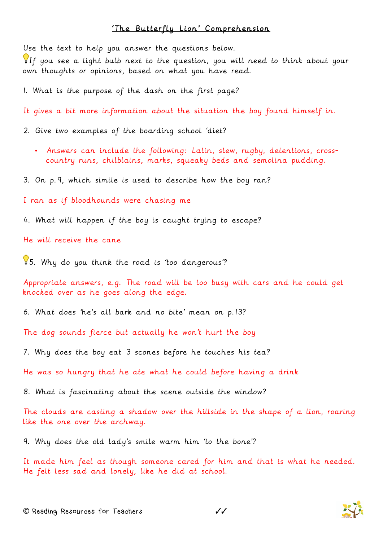## 'The Butterfly Lion' Comprehension

Use the text to help you answer the questions below.

If you see a light bulb next to the question, you will need to think about your own thoughts or opinions, based on what you have read.

1. What is the purpose of the dash on the first page?

It gives a bit more information about the situation the boy found himself in.

2. Give two examples of the boarding school 'diet?

• Answers can include the following: Latin, stew, rugby, detentions, crosscountry runs, chilblains, marks, squeaky beds and semolina pudding.

3. On p.9, which simile is used to describe how the boy ran?

I ran as if bloodhounds were chasing me

4. What will happen if the boy is caught trying to escape?

He will receive the cane

5. Why do you think the road is 'too dangerous'?

Appropriate answers, e.g. The road will be too busy with cars and he could get knocked over as he goes along the edge.

6. What does 'he's all bark and no bite' mean on p.13?

The dog sounds fierce but actually he won't hurt the boy

7. Why does the boy eat 3 scones before he touches his tea?

He was so hungry that he ate what he could before having a drink

8. What is fascinating about the scene outside the window?

The clouds are casting a shadow over the hillside in the shape of a lion, roaring like the one over the archway.

9. Why does the old lady's smile warm him 'to the bone'?

It made him feel as though someone cared for him and that is what he needed. He felt less sad and lonely, like he did at school.